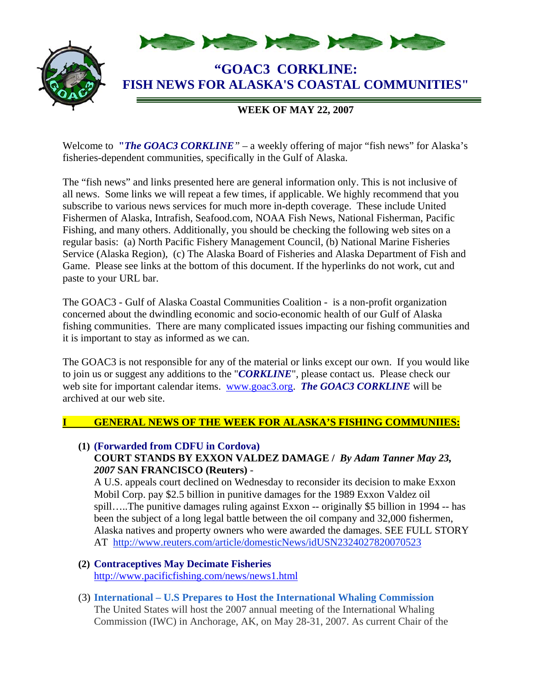

# **WEEK OF MAY 22, 2007**

Welcome to **"***The GOAC3 CORKLINE*" – a weekly offering of major "fish news" for Alaska's fisheries-dependent communities, specifically in the Gulf of Alaska.

The "fish news" and links presented here are general information only. This is not inclusive of all news. Some links we will repeat a few times, if applicable. We highly recommend that you subscribe to various news services for much more in-depth coverage. These include United Fishermen of Alaska, Intrafish, Seafood.com, NOAA Fish News, National Fisherman, Pacific Fishing, and many others. Additionally, you should be checking the following web sites on a regular basis: (a) North Pacific Fishery Management Council, (b) National Marine Fisheries Service (Alaska Region), (c) The Alaska Board of Fisheries and Alaska Department of Fish and Game. Please see links at the bottom of this document. If the hyperlinks do not work, cut and paste to your URL bar.

The GOAC3 - Gulf of Alaska Coastal Communities Coalition - is a non-profit organization concerned about the dwindling economic and socio-economic health of our Gulf of Alaska fishing communities. There are many complicated issues impacting our fishing communities and it is important to stay as informed as we can.

The GOAC3 is not responsible for any of the material or links except our own. If you would like to join us or suggest any additions to the "*CORKLINE*", please contact us. Please check our web site for important calendar items. www.goac3.org. **The GOAC3 CORKLINE** will be archived at our web site.

### **I GENERAL NEWS OF THE WEEK FOR ALASKA'S FISHING COMMUNIIES:**

**(1) (Forwarded from CDFU in Cordova) COURT STANDS BY EXXON VALDEZ DAMAGE /** *By Adam Tanner May 23, 2007* **SAN FRANCISCO (Reuters)** -

A U.S. appeals court declined on Wednesday to reconsider its decision to make Exxon Mobil Corp. pay \$2.5 billion in punitive damages for the 1989 Exxon Valdez oil spill…..The punitive damages ruling against Exxon -- originally \$5 billion in 1994 -- has been the subject of a long legal battle between the oil company and 32,000 fishermen, Alaska natives and property owners who were awarded the damages. SEE FULL STORY AT http://www.reuters.com/article/domesticNews/idUSN2324027820070523

- **(2) Contraceptives May Decimate Fisheries**  http://www.pacificfishing.com/news/news1.html
- (3) **International U.S Prepares to Host the International Whaling Commission**  The United States will host the 2007 annual meeting of the International Whaling Commission (IWC) in Anchorage, AK, on May 28-31, 2007. As current Chair of the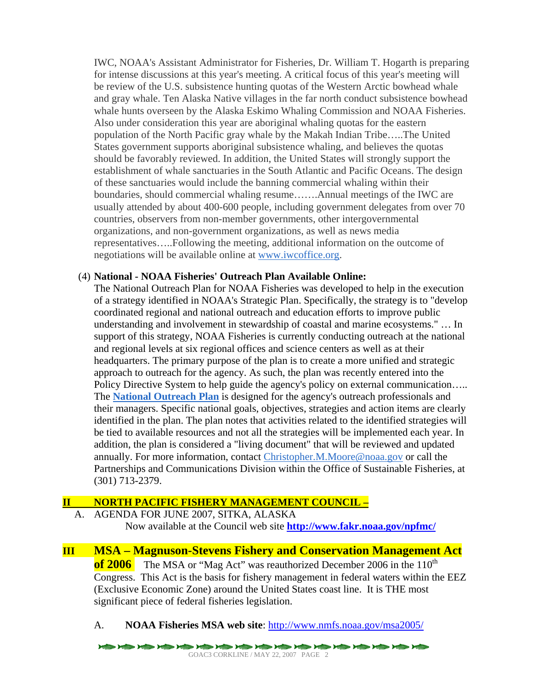IWC, NOAA's Assistant Administrator for Fisheries, Dr. William T. Hogarth is preparing for intense discussions at this year's meeting. A critical focus of this year's meeting will be review of the U.S. subsistence hunting quotas of the Western Arctic bowhead whale and gray whale. Ten Alaska Native villages in the far north conduct subsistence bowhead whale hunts overseen by the Alaska Eskimo Whaling Commission and NOAA Fisheries. Also under consideration this year are aboriginal whaling quotas for the eastern population of the North Pacific gray whale by the Makah Indian Tribe…..The United States government supports aboriginal subsistence whaling, and believes the quotas should be favorably reviewed. In addition, the United States will strongly support the establishment of whale sanctuaries in the South Atlantic and Pacific Oceans. The design of these sanctuaries would include the banning commercial whaling within their boundaries, should commercial whaling resume…….Annual meetings of the IWC are usually attended by about 400-600 people, including government delegates from over 70 countries, observers from non-member governments, other intergovernmental organizations, and non-government organizations, as well as news media representatives…..Following the meeting, additional information on the outcome of negotiations will be available online at www.iwcoffice.org.

### (4) **National - NOAA Fisheries' Outreach Plan Available Online:**

The National Outreach Plan for NOAA Fisheries was developed to help in the execution of a strategy identified in NOAA's Strategic Plan. Specifically, the strategy is to "develop coordinated regional and national outreach and education efforts to improve public understanding and involvement in stewardship of coastal and marine ecosystems." … In support of this strategy, NOAA Fisheries is currently conducting outreach at the national and regional levels at six regional offices and science centers as well as at their headquarters. The primary purpose of the plan is to create a more unified and strategic approach to outreach for the agency. As such, the plan was recently entered into the Policy Directive System to help guide the agency's policy on external communication….. The **National Outreach Plan** is designed for the agency's outreach professionals and their managers. Specific national goals, objectives, strategies and action items are clearly identified in the plan. The plan notes that activities related to the identified strategies will be tied to available resources and not all the strategies will be implemented each year. In addition, the plan is considered a "living document" that will be reviewed and updated annually. For more information, contact Christopher.M.Moore@noaa.gov or call the Partnerships and Communications Division within the Office of Sustainable Fisheries, at (301) 713-2379.

### **II NORTH PACIFIC FISHERY MANAGEMENT COUNCIL –**

A. AGENDA FOR JUNE 2007, SITKA, ALASKA Now available at the Council web site **http://www.fakr.noaa.gov/npfmc/**

**III MSA – Magnuson-Stevens Fishery and Conservation Management Act of 2006** The MSA or "Mag Act" was reauthorized December 2006 in the 110<sup>th</sup> Congress. This Act is the basis for fishery management in federal waters within the EEZ (Exclusive Economic Zone) around the United States coast line. It is THE most significant piece of federal fisheries legislation.

A. **NOAA Fisheries MSA web site**: http://www.nmfs.noaa.gov/msa2005/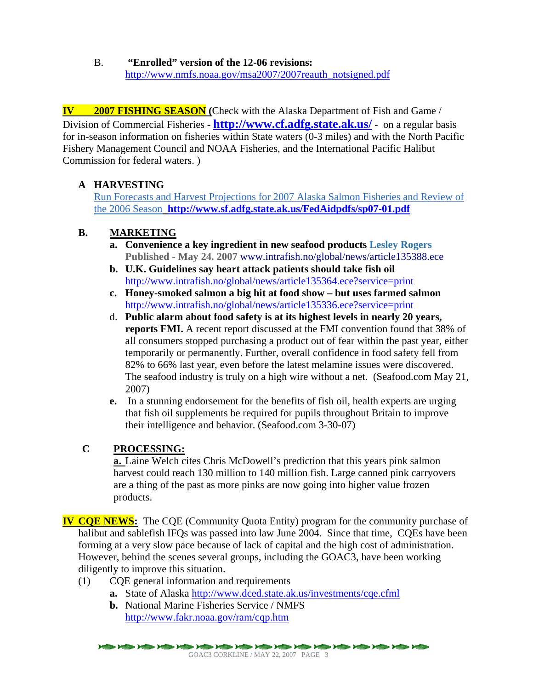B. **"Enrolled" version of the 12-06 revisions:** http://www.nmfs.noaa.gov/msa2007/2007reauth\_notsigned.pdf

**IV 2007 FISHING SEASON (**Check with the Alaska Department of Fish and Game / Division of Commercial Fisheries - **http://www.cf.adfg.state.ak.us/** - on a regular basis for in-season information on fisheries within State waters (0-3 miles) and with the North Pacific Fishery Management Council and NOAA Fisheries, and the International Pacific Halibut Commission for federal waters. )

# **A HARVESTING**

Run Forecasts and Harvest Projections for 2007 Alaska Salmon Fisheries and Review of the 2006 Season **http://www.sf.adfg.state.ak.us/FedAidpdfs/sp07-01.pdf**

## **B. MARKETING**

- **a. Convenience a key ingredient in new seafood products Lesley Rogers Published - May 24. 2007** www.intrafish.no/global/news/article135388.ece
- **b. U.K. Guidelines say heart attack patients should take fish oil**  http://www.intrafish.no/global/news/article135364.ece?service=print
- **c. Honey-smoked salmon a big hit at food show but uses farmed salmon**  http://www.intrafish.no/global/news/article135336.ece?service=print
- d. **Public alarm about food safety is at its highest levels in nearly 20 years, reports FMI.** A recent report discussed at the FMI convention found that 38% of all consumers stopped purchasing a product out of fear within the past year, either temporarily or permanently. Further, overall confidence in food safety fell from 82% to 66% last year, even before the latest melamine issues were discovered. The seafood industry is truly on a high wire without a net. (Seafood.com May 21, 2007)
- **e.** In a stunning endorsement for the benefits of fish oil, health experts are urging that fish oil supplements be required for pupils throughout Britain to improve their intelligence and behavior. (Seafood.com 3-30-07)

## **C PROCESSING:**

**a.** Laine Welch cites Chris McDowell's prediction that this years pink salmon harvest could reach 130 million to 140 million fish. Large canned pink carryovers are a thing of the past as more pinks are now going into higher value frozen products.

**IV CQE NEWS:** The CQE (Community Quota Entity) program for the community purchase of halibut and sablefish IFQs was passed into law June 2004. Since that time, CQEs have been forming at a very slow pace because of lack of capital and the high cost of administration. However, behind the scenes several groups, including the GOAC3, have been working diligently to improve this situation.

- (1) CQE general information and requirements
	- **a.** State of Alaska http://www.dced.state.ak.us/investments/cqe.cfml
	- **b.** National Marine Fisheries Service / NMFS http://www.fakr.noaa.gov/ram/cqp.htm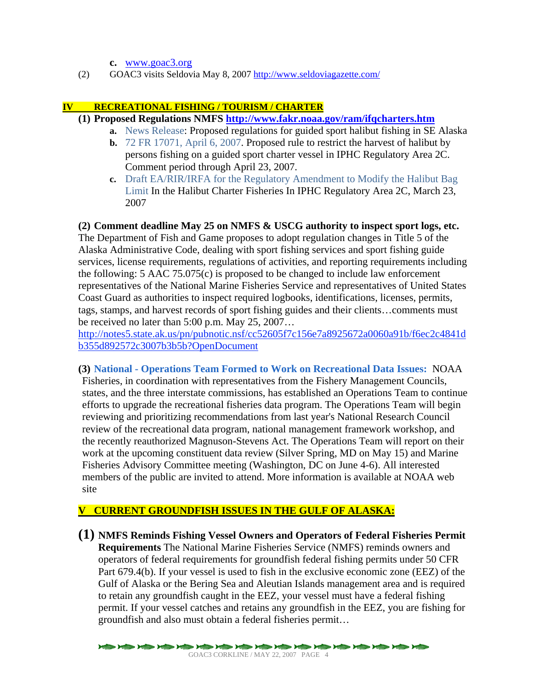**c.** www.goac3.org

(2) GOAC3 visits Seldovia May 8, 2007 http://www.seldoviagazette.com/

#### **IV RECREATIONAL FISHING / TOURISM / CHARTER**

- **(1) Proposed Regulations NMFS http://www.fakr.noaa.gov/ram/ifqcharters.htm**
	- **a.** News Release: Proposed regulations for guided sport halibut fishing in SE Alaska
		- **b.** 72 FR 17071, April 6, 2007. Proposed rule to restrict the harvest of halibut by persons fishing on a guided sport charter vessel in IPHC Regulatory Area 2C. Comment period through April 23, 2007.
		- **c.** Draft EA/RIR/IRFA for the Regulatory Amendment to Modify the Halibut Bag Limit In the Halibut Charter Fisheries In IPHC Regulatory Area 2C, March 23, 2007

### **(2) Comment deadline May 25 on NMFS & USCG authority to inspect sport logs, etc.**

The Department of Fish and Game proposes to adopt regulation changes in Title 5 of the Alaska Administrative Code, dealing with sport fishing services and sport fishing guide services, license requirements, regulations of activities, and reporting requirements including the following:  $5$  AAC  $75.075(c)$  is proposed to be changed to include law enforcement representatives of the National Marine Fisheries Service and representatives of United States Coast Guard as authorities to inspect required logbooks, identifications, licenses, permits, tags, stamps, and harvest records of sport fishing guides and their clients…comments must be received no later than 5:00 p.m. May 25, 2007…

http://notes5.state.ak.us/pn/pubnotic.nsf/cc52605f7c156e7a8925672a0060a91b/f6ec2c4841d b355d892572c3007b3b5b?OpenDocument

**(3) National - Operations Team Formed to Work on Recreational Data Issues:** NOAA Fisheries, in coordination with representatives from the Fishery Management Councils, states, and the three interstate commissions, has established an Operations Team to continue efforts to upgrade the recreational fisheries data program. The Operations Team will begin reviewing and prioritizing recommendations from last year's National Research Council review of the recreational data program, national management framework workshop, and the recently reauthorized Magnuson-Stevens Act. The Operations Team will report on their work at the upcoming constituent data review (Silver Spring, MD on May 15) and Marine Fisheries Advisory Committee meeting (Washington, DC on June 4-6). All interested members of the public are invited to attend. More information is available at NOAA web site

## **V CURRENT GROUNDFISH ISSUES IN THE GULF OF ALASKA:**

**(1) NMFS Reminds Fishing Vessel Owners and Operators of Federal Fisheries Permit Requirements** The National Marine Fisheries Service (NMFS) reminds owners and operators of federal requirements for groundfish federal fishing permits under 50 CFR Part 679.4(b). If your vessel is used to fish in the exclusive economic zone (EEZ) of the Gulf of Alaska or the Bering Sea and Aleutian Islands management area and is required to retain any groundfish caught in the EEZ, your vessel must have a federal fishing permit. If your vessel catches and retains any groundfish in the EEZ, you are fishing for groundfish and also must obtain a federal fisheries permit…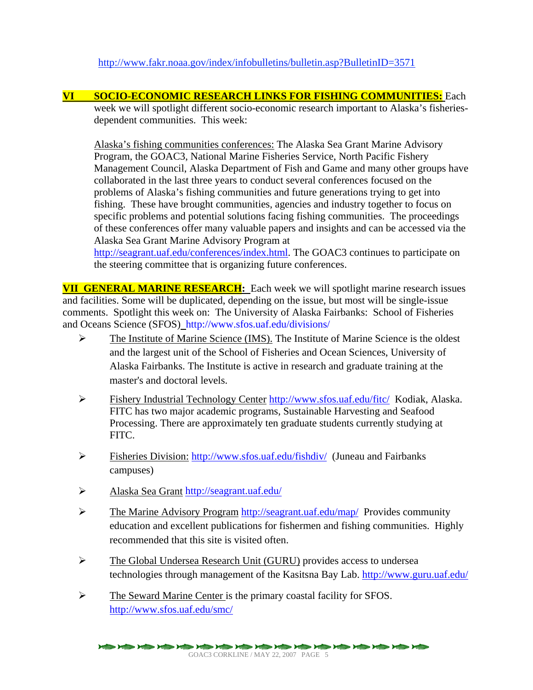http://www.fakr.noaa.gov/index/infobulletins/bulletin.asp?BulletinID=3571

**VI SOCIO-ECONOMIC RESEARCH LINKS FOR FISHING COMMUNITIES:** Each week we will spotlight different socio-economic research important to Alaska's fisheries-

dependent communities. This week:

Alaska's fishing communities conferences: The Alaska Sea Grant Marine Advisory Program, the GOAC3, National Marine Fisheries Service, North Pacific Fishery Management Council, Alaska Department of Fish and Game and many other groups have collaborated in the last three years to conduct several conferences focused on the problems of Alaska's fishing communities and future generations trying to get into fishing. These have brought communities, agencies and industry together to focus on specific problems and potential solutions facing fishing communities. The proceedings of these conferences offer many valuable papers and insights and can be accessed via the Alaska Sea Grant Marine Advisory Program at

http://seagrant.uaf.edu/conferences/index.html. The GOAC3 continues to participate on the steering committee that is organizing future conferences.

**VII GENERAL MARINE RESEARCH:** Each week we will spotlight marine research issues and facilities. Some will be duplicated, depending on the issue, but most will be single-issue comments. Spotlight this week on: The University of Alaska Fairbanks: School of Fisheries and Oceans Science (SFOS)http://www.sfos.uaf.edu/divisions/

- ¾ The Institute of Marine Science (IMS). The Institute of Marine Science is the oldest and the largest unit of the School of Fisheries and Ocean Sciences, University of Alaska Fairbanks. The Institute is active in research and graduate training at the master's and doctoral levels.
- ¾ Fishery Industrial Technology Center http://www.sfos.uaf.edu/fitc/ Kodiak, Alaska. FITC has two major academic programs, Sustainable Harvesting and Seafood Processing. There are approximately ten graduate students currently studying at FITC.
- ¾ Fisheries Division: http://www.sfos.uaf.edu/fishdiv/ (Juneau and Fairbanks campuses)
- ¾ Alaska Sea Grant http://seagrant.uaf.edu/
- $\triangleright$  The Marine Advisory Program http://seagrant.uaf.edu/map/ Provides community education and excellent publications for fishermen and fishing communities. Highly recommended that this site is visited often.
- ¾ The Global Undersea Research Unit (GURU) provides access to undersea technologies through management of the Kasitsna Bay Lab. http://www.guru.uaf.edu/
- ¾ The Seward Marine Center is the primary coastal facility for SFOS. http://www.sfos.uaf.edu/smc/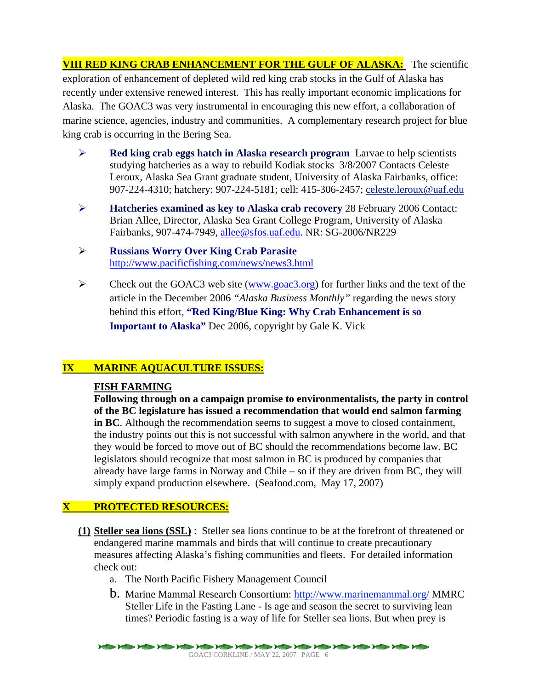**VIII RED KING CRAB ENHANCEMENT FOR THE GULF OF ALASKA:** The scientific exploration of enhancement of depleted wild red king crab stocks in the Gulf of Alaska has recently under extensive renewed interest. This has really important economic implications for Alaska. The GOAC3 was very instrumental in encouraging this new effort, a collaboration of marine science, agencies, industry and communities. A complementary research project for blue king crab is occurring in the Bering Sea.

- ¾ **Red king crab eggs hatch in Alaska research program** Larvae to help scientists studying hatcheries as a way to rebuild Kodiak stocks 3/8/2007 Contacts Celeste Leroux, Alaska Sea Grant graduate student, University of Alaska Fairbanks, office: 907-224-4310; hatchery: 907-224-5181; cell: 415-306-2457; celeste.leroux@uaf.edu
- ¾ **Hatcheries examined as key to Alaska crab recovery** 28 February 2006 Contact: Brian Allee, Director, Alaska Sea Grant College Program, University of Alaska Fairbanks, 907-474-7949, allee@sfos.uaf.edu. NR: SG-2006/NR229
- ¾ **Russians Worry Over King Crab Parasite**  http://www.pacificfishing.com/news/news3.html
- $\triangleright$  Check out the GOAC3 web site (www.goac3.org) for further links and the text of the article in the December 2006 *"Alaska Business Monthly"* regarding the news story behind this effort, **"Red King/Blue King: Why Crab Enhancement is so Important to Alaska"** Dec 2006, copyright by Gale K. Vick

## **IX MARINE AQUACULTURE ISSUES:**

### **FISH FARMING**

**Following through on a campaign promise to environmentalists, the party in control of the BC legislature has issued a recommendation that would end salmon farming in BC**. Although the recommendation seems to suggest a move to closed containment, the industry points out this is not successful with salmon anywhere in the world, and that they would be forced to move out of BC should the recommendations become law. BC legislators should recognize that most salmon in BC is produced by companies that already have large farms in Norway and Chile – so if they are driven from BC, they will simply expand production elsewhere. (Seafood.com, May 17, 2007)

### **X PROTECTED RESOURCES:**

- **(1) Steller sea lions (SSL)** : Steller sea lions continue to be at the forefront of threatened or endangered marine mammals and birds that will continue to create precautionary measures affecting Alaska's fishing communities and fleets. For detailed information check out:
	- a. The North Pacific Fishery Management Council
	- b. Marine Mammal Research Consortium: http://www.marinemammal.org/ MMRC Steller Life in the Fasting Lane - Is age and season the secret to surviving lean times? Periodic fasting is a way of life for Steller sea lions. But when prey is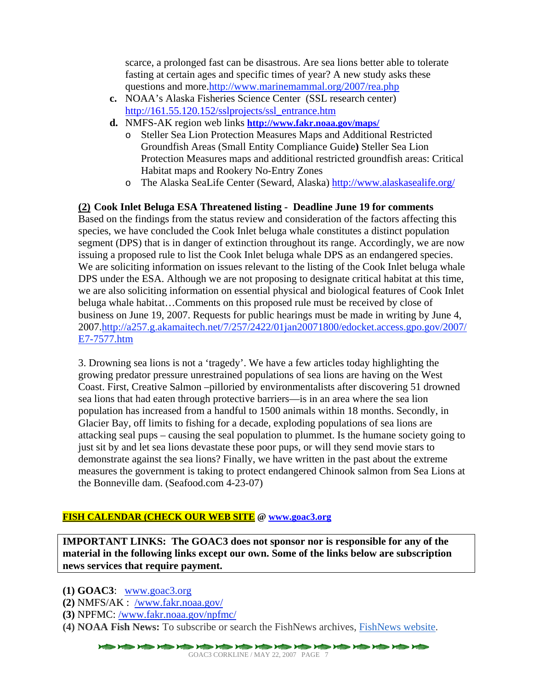scarce, a prolonged fast can be disastrous. Are sea lions better able to tolerate fasting at certain ages and specific times of year? A new study asks these questions and more.http://www.marinemammal.org/2007/rea.php

- **c.** NOAA's Alaska Fisheries Science Center (SSL research center) http://161.55.120.152/sslprojects/ssl\_entrance.htm
- **d.** NMFS-AK region web links **http://www.fakr.noaa.gov/maps/**
	- o Steller Sea Lion Protection Measures Maps and Additional Restricted Groundfish Areas (Small Entity Compliance Guide**)** Steller Sea Lion Protection Measures maps and additional restricted groundfish areas: Critical Habitat maps and Rookery No-Entry Zones
	- o The Alaska SeaLife Center (Seward, Alaska) http://www.alaskasealife.org/

#### **(2) Cook Inlet Beluga ESA Threatened listing - Deadline June 19 for comments**

Based on the findings from the status review and consideration of the factors affecting this species, we have concluded the Cook Inlet beluga whale constitutes a distinct population segment (DPS) that is in danger of extinction throughout its range. Accordingly, we are now issuing a proposed rule to list the Cook Inlet beluga whale DPS as an endangered species. We are soliciting information on issues relevant to the listing of the Cook Inlet beluga whale DPS under the ESA. Although we are not proposing to designate critical habitat at this time, we are also soliciting information on essential physical and biological features of Cook Inlet beluga whale habitat…Comments on this proposed rule must be received by close of business on June 19, 2007. Requests for public hearings must be made in writing by June 4, 2007.http://a257.g.akamaitech.net/7/257/2422/01jan20071800/edocket.access.gpo.gov/2007/ E7-7577.htm

3. Drowning sea lions is not a 'tragedy'. We have a few articles today highlighting the growing predator pressure unrestrained populations of sea lions are having on the West Coast. First, Creative Salmon –pilloried by environmentalists after discovering 51 drowned sea lions that had eaten through protective barriers—is in an area where the sea lion population has increased from a handful to 1500 animals within 18 months. Secondly, in Glacier Bay, off limits to fishing for a decade, exploding populations of sea lions are attacking seal pups – causing the seal population to plummet. Is the humane society going to just sit by and let sea lions devastate these poor pups, or will they send movie stars to demonstrate against the sea lions? Finally, we have written in the past about the extreme measures the government is taking to protect endangered Chinook salmon from Sea Lions at the Bonneville dam. (Seafood.com 4-23-07)

#### **FISH CALENDAR (CHECK OUR WEB SITE @ www.goac3.org**

**IMPORTANT LINKS: The GOAC3 does not sponsor nor is responsible for any of the material in the following links except our own. Some of the links below are subscription news services that require payment.** 

**(1) GOAC3**: www.goac3.org

- **(2)** NMFS/AK : /www.fakr.noaa.gov/
- **(3)** NPFMC: /www.fakr.noaa.gov/npfmc/
- **(4) NOAA Fish News:** To subscribe or search the FishNews archives, FishNews website.